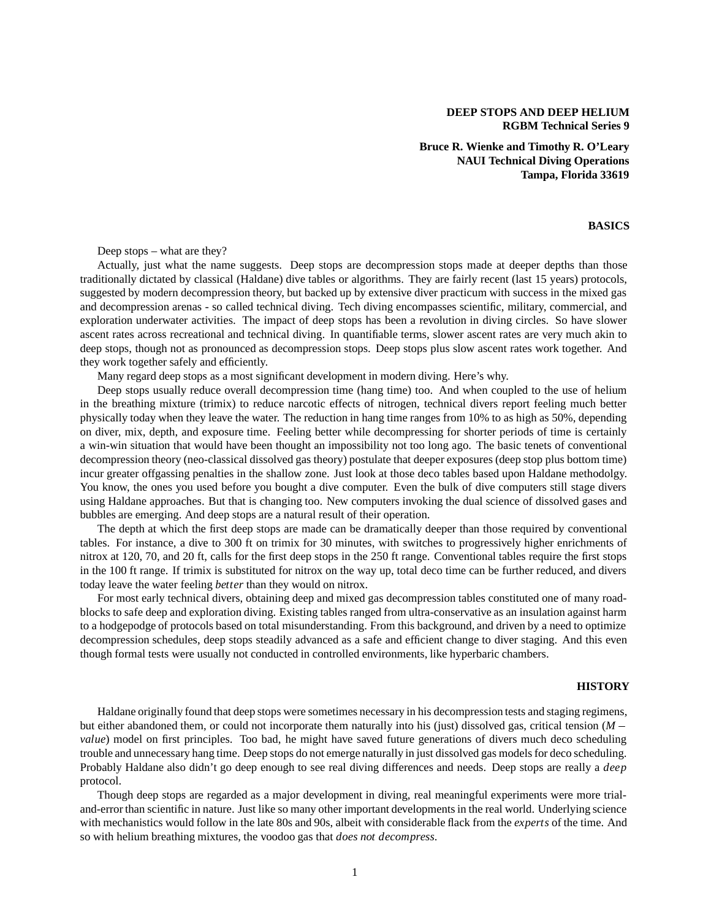## **DEEP STOPS AND DEEP HELIUM RGBM Technical Series 9**

**Bruce R. Wienke and Timothy R. O'Leary NAUI Technical Diving Operations Tampa, Florida 33619**

# **BASICS**

Deep stops – what are they?

Actually, just what the name suggests. Deep stops are decompression stops made at deeper depths than those traditionally dictated by classical (Haldane) dive tables or algorithms. They are fairly recent (last 15 years) protocols, suggested by modern decompression theory, but backed up by extensive diver practicum with success in the mixed gas and decompression arenas - so called technical diving. Tech diving encompasses scientific, military, commercial, and exploration underwater activities. The impact of deep stops has been a revolution in diving circles. So have slower ascent rates across recreational and technical diving. In quantifiable terms, slower ascent rates are very much akin to deep stops, though not as pronounced as decompression stops. Deep stops plus slow ascent rates work together. And they work together safely and efficiently.

Many regard deep stops as a most significant development in modern diving. Here's why.

Deep stops usually reduce overall decompression time (hang time) too. And when coupled to the use of helium in the breathing mixture (trimix) to reduce narcotic effects of nitrogen, technical divers report feeling much better physically today when they leave the water. The reduction in hang time ranges from 10% to as high as 50%, depending on diver, mix, depth, and exposure time. Feeling better while decompressing for shorter periods of time is certainly a win-win situation that would have been thought an impossibility not too long ago. The basic tenets of conventional decompression theory (neo-classical dissolved gas theory) postulate that deeper exposures (deep stop plus bottom time) incur greater offgassing penalties in the shallow zone. Just look at those deco tables based upon Haldane methodolgy. You know, the ones you used before you bought a dive computer. Even the bulk of dive computers still stage divers using Haldane approaches. But that is changing too. New computers invoking the dual science of dissolved gases and bubbles are emerging. And deep stops are a natural result of their operation.

The depth at which the first deep stops are made can be dramatically deeper than those required by conventional tables. For instance, a dive to 300 ft on trimix for 30 minutes, with switches to progressively higher enrichments of nitrox at 120, 70, and 20 ft, calls for the first deep stops in the 250 ft range. Conventional tables require the first stops in the 100 ft range. If trimix is substituted for nitrox on the way up, total deco time can be further reduced, and divers today leave the water feeling *better* than they would on nitrox.

For most early technical divers, obtaining deep and mixed gas decompression tables constituted one of many roadblocks to safe deep and exploration diving. Existing tables ranged from ultra-conservative as an insulation against harm to a hodgepodge of protocols based on total misunderstanding. From this background, and driven by a need to optimize decompression schedules, deep stops steadily advanced as a safe and efficient change to diver staging. And this even though formal tests were usually not conducted in controlled environments, like hyperbaric chambers.

#### **HISTORY**

Haldane originally found that deep stops were sometimes necessary in his decompression tests and staging regimens, but either abandoned them, or could not incorporate them naturally into his (just) dissolved gas, critical tension (*M value*) model on first principles. Too bad, he might have saved future generations of divers much deco scheduling trouble and unnecessary hang time. Deep stops do not emerge naturally in just dissolved gas models for deco scheduling. Probably Haldane also didn't go deep enough to see real diving differences and needs. Deep stops are really a *deep* protocol.

Though deep stops are regarded as a major development in diving, real meaningful experiments were more trialand-error than scientific in nature. Just like so many other important developments in the real world. Underlying science with mechanistics would follow in the late 80s and 90s, albeit with considerable flack from the *experts* of the time. And so with helium breathing mixtures, the voodoo gas that *does not decompress*.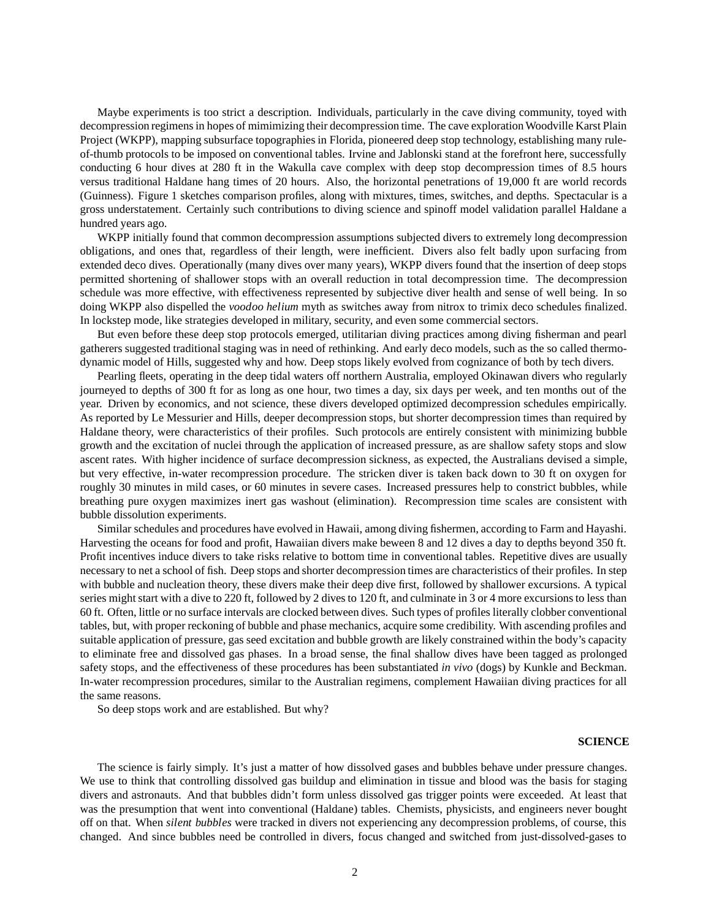Maybe experiments is too strict a description. Individuals, particularly in the cave diving community, toyed with decompression regimens in hopes of mimimizing their decompression time. The cave exploration Woodville Karst Plain Project (WKPP), mapping subsurface topographies in Florida, pioneered deep stop technology, establishing many ruleof-thumb protocols to be imposed on conventional tables. Irvine and Jablonski stand at the forefront here, successfully conducting 6 hour dives at 280 ft in the Wakulla cave complex with deep stop decompression times of 8.5 hours versus traditional Haldane hang times of 20 hours. Also, the horizontal penetrations of 19,000 ft are world records (Guinness). Figure 1 sketches comparison profiles, along with mixtures, times, switches, and depths. Spectacular is a gross understatement. Certainly such contributions to diving science and spinoff model validation parallel Haldane a hundred years ago.

WKPP initially found that common decompression assumptions subjected divers to extremely long decompression obligations, and ones that, regardless of their length, were inefficient. Divers also felt badly upon surfacing from extended deco dives. Operationally (many dives over many years), WKPP divers found that the insertion of deep stops permitted shortening of shallower stops with an overall reduction in total decompression time. The decompression schedule was more effective, with effectiveness represented by subjective diver health and sense of well being. In so doing WKPP also dispelled the *voodoo helium* myth as switches away from nitrox to trimix deco schedules finalized. In lockstep mode, like strategies developed in military, security, and even some commercial sectors.

But even before these deep stop protocols emerged, utilitarian diving practices among diving fisherman and pearl gatherers suggested traditional staging was in need of rethinking. And early deco models, such as the so called thermodynamic model of Hills, suggested why and how. Deep stops likely evolved from cognizance of both by tech divers.

Pearling fleets, operating in the deep tidal waters off northern Australia, employed Okinawan divers who regularly journeyed to depths of 300 ft for as long as one hour, two times a day, six days per week, and ten months out of the year. Driven by economics, and not science, these divers developed optimized decompression schedules empirically. As reported by Le Messurier and Hills, deeper decompression stops, but shorter decompression times than required by Haldane theory, were characteristics of their profiles. Such protocols are entirely consistent with minimizing bubble growth and the excitation of nuclei through the application of increased pressure, as are shallow safety stops and slow ascent rates. With higher incidence of surface decompression sickness, as expected, the Australians devised a simple, but very effective, in-water recompression procedure. The stricken diver is taken back down to 30 ft on oxygen for roughly 30 minutes in mild cases, or 60 minutes in severe cases. Increased pressures help to constrict bubbles, while breathing pure oxygen maximizes inert gas washout (elimination). Recompression time scales are consistent with bubble dissolution experiments.

Similar schedules and procedures have evolved in Hawaii, among diving fishermen, according to Farm and Hayashi. Harvesting the oceans for food and profit, Hawaiian divers make beween 8 and 12 dives a day to depths beyond 350 ft. Profit incentives induce divers to take risks relative to bottom time in conventional tables. Repetitive dives are usually necessary to net a school of fish. Deep stops and shorter decompression times are characteristics of their profiles. In step with bubble and nucleation theory, these divers make their deep dive first, followed by shallower excursions. A typical series might start with a dive to 220 ft, followed by 2 dives to 120 ft, and culminate in 3 or 4 more excursions to less than 60 ft. Often, little or no surface intervals are clocked between dives. Such types of profiles literally clobber conventional tables, but, with proper reckoning of bubble and phase mechanics, acquire some credibility. With ascending profiles and suitable application of pressure, gas seed excitation and bubble growth are likely constrained within the body's capacity to eliminate free and dissolved gas phases. In a broad sense, the final shallow dives have been tagged as prolonged safety stops, and the effectiveness of these procedures has been substantiated *in vivo* (dogs) by Kunkle and Beckman. In-water recompression procedures, similar to the Australian regimens, complement Hawaiian diving practices for all the same reasons.

So deep stops work and are established. But why?

### **SCIENCE**

The science is fairly simply. It's just a matter of how dissolved gases and bubbles behave under pressure changes. We use to think that controlling dissolved gas buildup and elimination in tissue and blood was the basis for staging divers and astronauts. And that bubbles didn't form unless dissolved gas trigger points were exceeded. At least that was the presumption that went into conventional (Haldane) tables. Chemists, physicists, and engineers never bought off on that. When *silent bubbles* were tracked in divers not experiencing any decompression problems, of course, this changed. And since bubbles need be controlled in divers, focus changed and switched from just-dissolved-gases to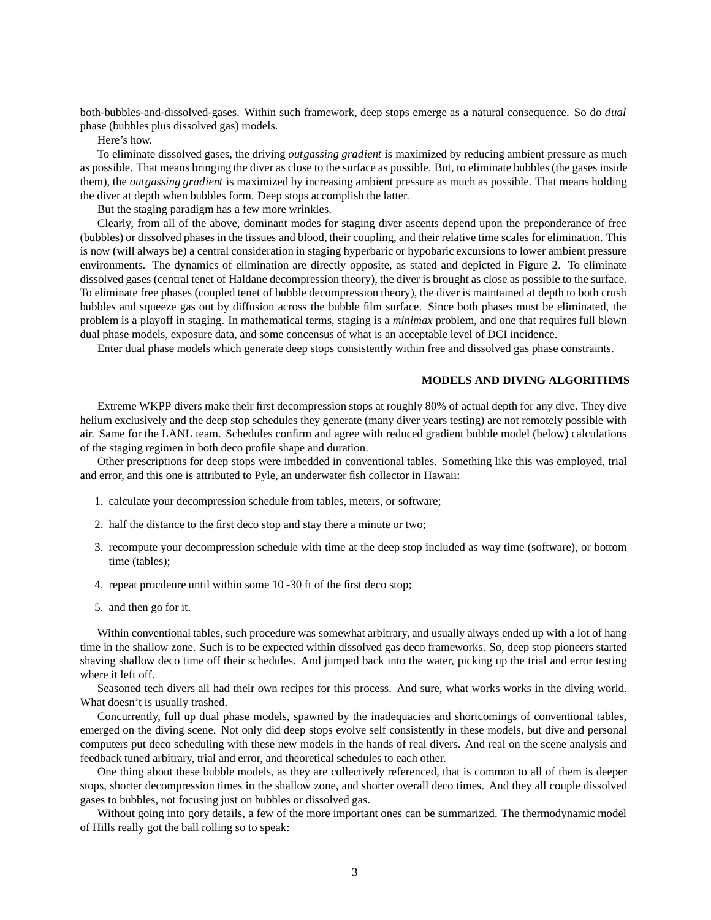both-bubbles-and-dissolved-gases. Within such framework, deep stops emerge as a natural consequence. So do *dual* phase (bubbles plus dissolved gas) models.

Here's how.

To eliminate dissolved gases, the driving *outgassing gradient* is maximized by reducing ambient pressure as much as possible. That means bringing the diver as close to the surface as possible. But, to eliminate bubbles (the gases inside them), the *outgassing gradient* is maximized by increasing ambient pressure as much as possible. That means holding the diver at depth when bubbles form. Deep stops accomplish the latter.

But the staging paradigm has a few more wrinkles.

Clearly, from all of the above, dominant modes for staging diver ascents depend upon the preponderance of free (bubbles) or dissolved phases in the tissues and blood, their coupling, and their relative time scales for elimination. This is now (will always be) a central consideration in staging hyperbaric or hypobaric excursions to lower ambient pressure environments. The dynamics of elimination are directly opposite, as stated and depicted in Figure 2. To eliminate dissolved gases (central tenet of Haldane decompression theory), the diver is brought as close as possible to the surface. To eliminate free phases (coupled tenet of bubble decompression theory), the diver is maintained at depth to both crush bubbles and squeeze gas out by diffusion across the bubble film surface. Since both phases must be eliminated, the problem is a playoff in staging. In mathematical terms, staging is a *minimax* problem, and one that requires full blown dual phase models, exposure data, and some concensus of what is an acceptable level of DCI incidence.

Enter dual phase models which generate deep stops consistently within free and dissolved gas phase constraints.

### **MODELS AND DIVING ALGORITHMS**

Extreme WKPP divers make their first decompression stops at roughly 80% of actual depth for any dive. They dive helium exclusively and the deep stop schedules they generate (many diver years testing) are not remotely possible with air. Same for the LANL team. Schedules confirm and agree with reduced gradient bubble model (below) calculations of the staging regimen in both deco profile shape and duration.

Other prescriptions for deep stops were imbedded in conventional tables. Something like this was employed, trial and error, and this one is attributed to Pyle, an underwater fish collector in Hawaii:

- 1. calculate your decompression schedule from tables, meters, or software;
- 2. half the distance to the first deco stop and stay there a minute or two;
- 3. recompute your decompression schedule with time at the deep stop included as way time (software), or bottom time (tables);
- 4. repeat procdeure until within some 10 -30 ft of the first deco stop;
- 5. and then go for it.

Within conventional tables, such procedure was somewhat arbitrary, and usually always ended up with a lot of hang time in the shallow zone. Such is to be expected within dissolved gas deco frameworks. So, deep stop pioneers started shaving shallow deco time off their schedules. And jumped back into the water, picking up the trial and error testing where it left off.

Seasoned tech divers all had their own recipes for this process. And sure, what works works in the diving world. What doesn't is usually trashed.

Concurrently, full up dual phase models, spawned by the inadequacies and shortcomings of conventional tables, emerged on the diving scene. Not only did deep stops evolve self consistently in these models, but dive and personal computers put deco scheduling with these new models in the hands of real divers. And real on the scene analysis and feedback tuned arbitrary, trial and error, and theoretical schedules to each other.

One thing about these bubble models, as they are collectively referenced, that is common to all of them is deeper stops, shorter decompression times in the shallow zone, and shorter overall deco times. And they all couple dissolved gases to bubbles, not focusing just on bubbles or dissolved gas.

Without going into gory details, a few of the more important ones can be summarized. The thermodynamic model of Hills really got the ball rolling so to speak: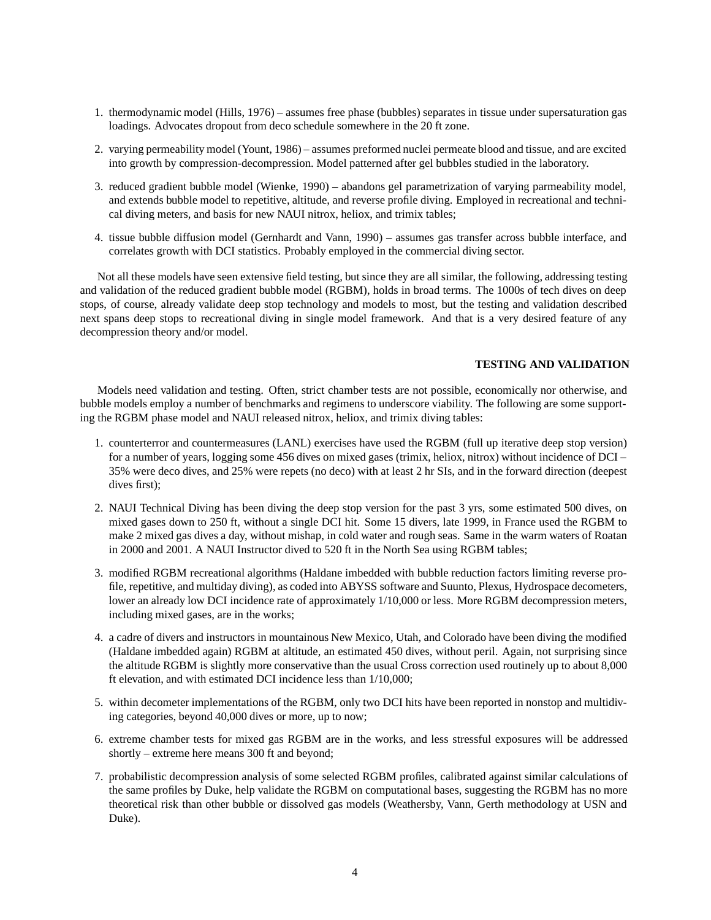- 1. thermodynamic model (Hills, 1976) assumes free phase (bubbles) separates in tissue under supersaturation gas loadings. Advocates dropout from deco schedule somewhere in the 20 ft zone.
- 2. varying permeability model (Yount, 1986) assumes preformed nuclei permeate blood and tissue, and are excited into growth by compression-decompression. Model patterned after gel bubbles studied in the laboratory.
- 3. reduced gradient bubble model (Wienke, 1990) abandons gel parametrization of varying parmeability model, and extends bubble model to repetitive, altitude, and reverse profile diving. Employed in recreational and technical diving meters, and basis for new NAUI nitrox, heliox, and trimix tables;
- 4. tissue bubble diffusion model (Gernhardt and Vann, 1990) assumes gas transfer across bubble interface, and correlates growth with DCI statistics. Probably employed in the commercial diving sector.

Not all these models have seen extensive field testing, but since they are all similar, the following, addressing testing and validation of the reduced gradient bubble model (RGBM), holds in broad terms. The 1000s of tech dives on deep stops, of course, already validate deep stop technology and models to most, but the testing and validation described next spans deep stops to recreational diving in single model framework. And that is a very desired feature of any decompression theory and/or model.

## **TESTING AND VALIDATION**

Models need validation and testing. Often, strict chamber tests are not possible, economically nor otherwise, and bubble models employ a number of benchmarks and regimens to underscore viability. The following are some supporting the RGBM phase model and NAUI released nitrox, heliox, and trimix diving tables:

- 1. counterterror and countermeasures (LANL) exercises have used the RGBM (full up iterative deep stop version) for a number of years, logging some 456 dives on mixed gases (trimix, heliox, nitrox) without incidence of DCI – 35% were deco dives, and 25% were repets (no deco) with at least 2 hr SIs, and in the forward direction (deepest dives first);
- 2. NAUI Technical Diving has been diving the deep stop version for the past 3 yrs, some estimated 500 dives, on mixed gases down to 250 ft, without a single DCI hit. Some 15 divers, late 1999, in France used the RGBM to make 2 mixed gas dives a day, without mishap, in cold water and rough seas. Same in the warm waters of Roatan in 2000 and 2001. A NAUI Instructor dived to 520 ft in the North Sea using RGBM tables;
- 3. modified RGBM recreational algorithms (Haldane imbedded with bubble reduction factors limiting reverse profile, repetitive, and multiday diving), as coded into ABYSS software and Suunto, Plexus, Hydrospace decometers, lower an already low DCI incidence rate of approximately  $1/10,000$  or less. More RGBM decompression meters, including mixed gases, are in the works;
- 4. a cadre of divers and instructors in mountainous New Mexico, Utah, and Colorado have been diving the modified (Haldane imbedded again) RGBM at altitude, an estimated 450 dives, without peril. Again, not surprising since the altitude RGBM is slightly more conservative than the usual Cross correction used routinely up to about 8,000 ft elevation, and with estimated DCI incidence less than 1/10,000;
- 5. within decometer implementations of the RGBM, only two DCI hits have been reported in nonstop and multidiving categories, beyond 40,000 dives or more, up to now;
- 6. extreme chamber tests for mixed gas RGBM are in the works, and less stressful exposures will be addressed shortly – extreme here means 300 ft and beyond;
- 7. probabilistic decompression analysis of some selected RGBM profiles, calibrated against similar calculations of the same profiles by Duke, help validate the RGBM on computational bases, suggesting the RGBM has no more theoretical risk than other bubble or dissolved gas models (Weathersby, Vann, Gerth methodology at USN and Duke).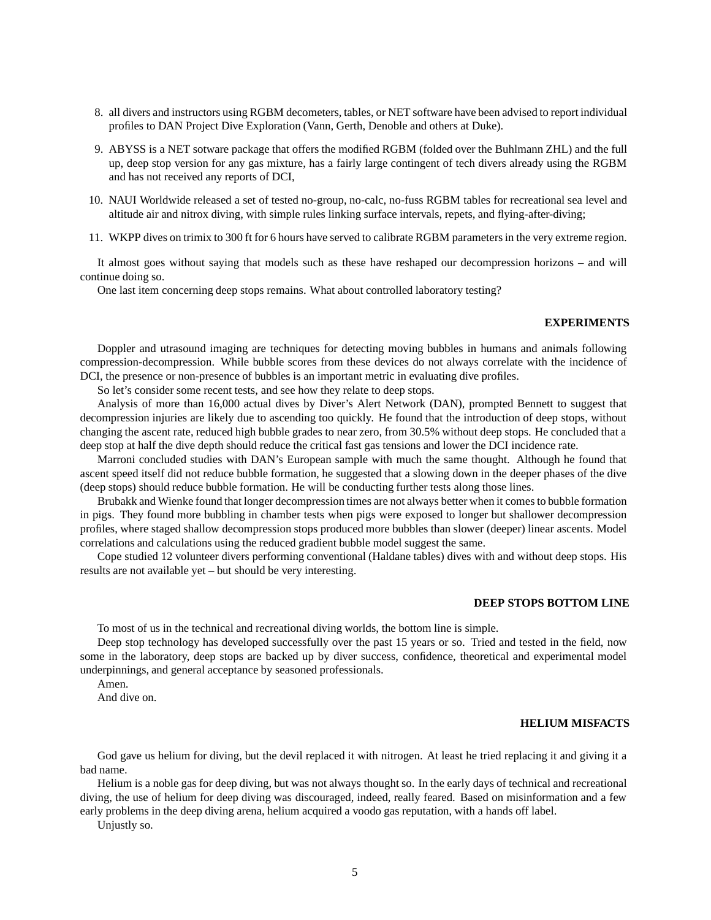- 8. all divers and instructors using RGBM decometers, tables, or NET software have been advised to report individual profiles to DAN Project Dive Exploration (Vann, Gerth, Denoble and others at Duke).
- 9. ABYSS is a NET sotware package that offers the modified RGBM (folded over the Buhlmann ZHL) and the full up, deep stop version for any gas mixture, has a fairly large contingent of tech divers already using the RGBM and has not received any reports of DCI,
- 10. NAUI Worldwide released a set of tested no-group, no-calc, no-fuss RGBM tables for recreational sea level and altitude air and nitrox diving, with simple rules linking surface intervals, repets, and flying-after-diving;
- 11. WKPP dives on trimix to 300 ft for 6 hours have served to calibrate RGBM parameters in the very extreme region.

It almost goes without saying that models such as these have reshaped our decompression horizons – and will continue doing so.

One last item concerning deep stops remains. What about controlled laboratory testing?

# **EXPERIMENTS**

Doppler and utrasound imaging are techniques for detecting moving bubbles in humans and animals following compression-decompression. While bubble scores from these devices do not always correlate with the incidence of DCI, the presence or non-presence of bubbles is an important metric in evaluating dive profiles.

So let's consider some recent tests, and see how they relate to deep stops.

Analysis of more than 16,000 actual dives by Diver's Alert Network (DAN), prompted Bennett to suggest that decompression injuries are likely due to ascending too quickly. He found that the introduction of deep stops, without changing the ascent rate, reduced high bubble grades to near zero, from 30.5% without deep stops. He concluded that a deep stop at half the dive depth should reduce the critical fast gas tensions and lower the DCI incidence rate.

Marroni concluded studies with DAN's European sample with much the same thought. Although he found that ascent speed itself did not reduce bubble formation, he suggested that a slowing down in the deeper phases of the dive (deep stops) should reduce bubble formation. He will be conducting further tests along those lines.

Brubakk and Wienke found that longer decompression times are not always better when it comes to bubble formation in pigs. They found more bubbling in chamber tests when pigs were exposed to longer but shallower decompression profiles, where staged shallow decompression stops produced more bubbles than slower (deeper) linear ascents. Model correlations and calculations using the reduced gradient bubble model suggest the same.

Cope studied 12 volunteer divers performing conventional (Haldane tables) dives with and without deep stops. His results are not available yet – but should be very interesting.

# **DEEP STOPS BOTTOM LINE**

To most of us in the technical and recreational diving worlds, the bottom line is simple.

Deep stop technology has developed successfully over the past 15 years or so. Tried and tested in the field, now some in the laboratory, deep stops are backed up by diver success, confidence, theoretical and experimental model underpinnings, and general acceptance by seasoned professionals.

Amen.

And dive on.

#### **HELIUM MISFACTS**

God gave us helium for diving, but the devil replaced it with nitrogen. At least he tried replacing it and giving it a bad name.

Helium is a noble gas for deep diving, but was not always thought so. In the early days of technical and recreational diving, the use of helium for deep diving was discouraged, indeed, really feared. Based on misinformation and a few early problems in the deep diving arena, helium acquired a voodo gas reputation, with a hands off label.

Unjustly so.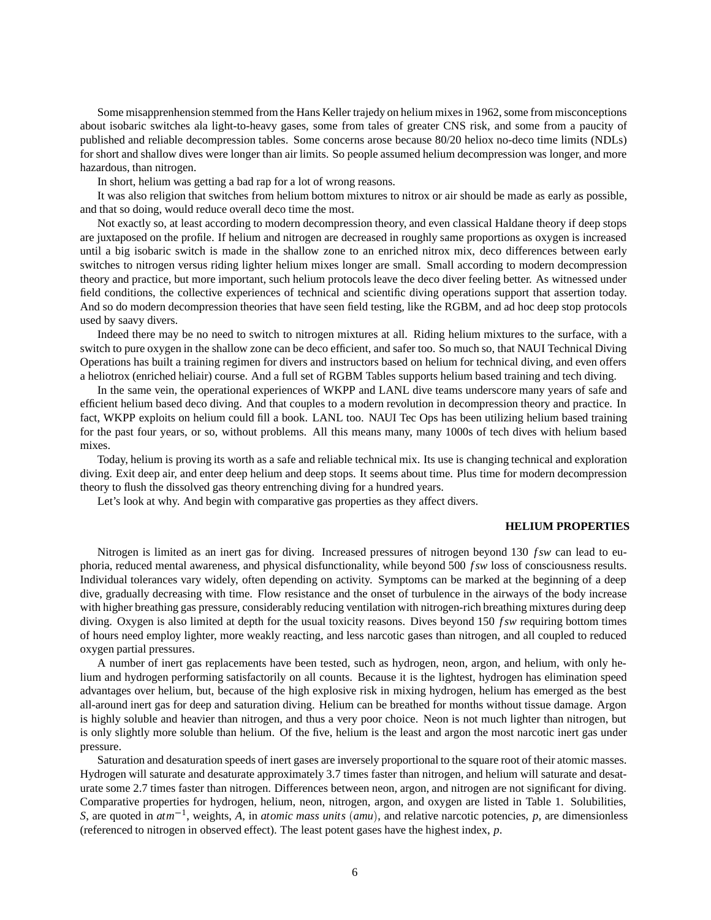Some misapprenhension stemmed from the Hans Keller trajedy on helium mixes in 1962, some from misconceptions about isobaric switches ala light-to-heavy gases, some from tales of greater CNS risk, and some from a paucity of published and reliable decompression tables. Some concerns arose because 80/20 heliox no-deco time limits (NDLs) for short and shallow dives were longer than air limits. So people assumed helium decompression was longer, and more hazardous, than nitrogen.

In short, helium was getting a bad rap for a lot of wrong reasons.

It was also religion that switches from helium bottom mixtures to nitrox or air should be made as early as possible, and that so doing, would reduce overall deco time the most.

Not exactly so, at least according to modern decompression theory, and even classical Haldane theory if deep stops are juxtaposed on the profile. If helium and nitrogen are decreased in roughly same proportions as oxygen is increased until a big isobaric switch is made in the shallow zone to an enriched nitrox mix, deco differences between early switches to nitrogen versus riding lighter helium mixes longer are small. Small according to modern decompression theory and practice, but more important, such helium protocols leave the deco diver feeling better. As witnessed under field conditions, the collective experiences of technical and scientific diving operations support that assertion today. And so do modern decompression theories that have seen field testing, like the RGBM, and ad hoc deep stop protocols used by saavy divers.

Indeed there may be no need to switch to nitrogen mixtures at all. Riding helium mixtures to the surface, with a switch to pure oxygen in the shallow zone can be deco efficient, and safer too. So much so, that NAUI Technical Diving Operations has built a training regimen for divers and instructors based on helium for technical diving, and even offers a heliotrox (enriched heliair) course. And a full set of RGBM Tables supports helium based training and tech diving.

In the same vein, the operational experiences of WKPP and LANL dive teams underscore many years of safe and efficient helium based deco diving. And that couples to a modern revolution in decompression theory and practice. In fact, WKPP exploits on helium could fill a book. LANL too. NAUI Tec Ops has been utilizing helium based training for the past four years, or so, without problems. All this means many, many 1000s of tech dives with helium based mixes.

Today, helium is proving its worth as a safe and reliable technical mix. Its use is changing technical and exploration diving. Exit deep air, and enter deep helium and deep stops. It seems about time. Plus time for modern decompression theory to flush the dissolved gas theory entrenching diving for a hundred years.

Let's look at why. And begin with comparative gas properties as they affect divers.

#### **HELIUM PROPERTIES**

Nitrogen is limited as an inert gas for diving. Increased pressures of nitrogen beyond 130 *fsw* can lead to euphoria, reduced mental awareness, and physical disfunctionality, while beyond 500 *f sw* loss of consciousness results. Individual tolerances vary widely, often depending on activity. Symptoms can be marked at the beginning of a deep dive, gradually decreasing with time. Flow resistance and the onset of turbulence in the airways of the body increase with higher breathing gas pressure, considerably reducing ventilation with nitrogen-rich breathing mixtures during deep diving. Oxygen is also limited at depth for the usual toxicity reasons. Dives beyond 150 *fsw* requiring bottom times of hours need employ lighter, more weakly reacting, and less narcotic gases than nitrogen, and all coupled to reduced oxygen partial pressures.

A number of inert gas replacements have been tested, such as hydrogen, neon, argon, and helium, with only helium and hydrogen performing satisfactorily on all counts. Because it is the lightest, hydrogen has elimination speed advantages over helium, but, because of the high explosive risk in mixing hydrogen, helium has emerged as the best all-around inert gas for deep and saturation diving. Helium can be breathed for months without tissue damage. Argon is highly soluble and heavier than nitrogen, and thus a very poor choice. Neon is not much lighter than nitrogen, but is only slightly more soluble than helium. Of the five, helium is the least and argon the most narcotic inert gas under pressure.

Saturation and desaturation speeds of inert gases are inversely proportional to the square root of their atomic masses. Hydrogen will saturate and desaturate approximately 3.7 times faster than nitrogen, and helium will saturate and desaturate some 2.7 times faster than nitrogen. Differences between neon, argon, and nitrogen are not significant for diving. Comparative properties for hydrogen, helium, neon, nitrogen, argon, and oxygen are listed in Table 1. Solubilities, *S*, are quoted in  $atm^{-1}$ , weights, *A*, in *atomic mass units* (*amu*), and relative narcotic potencies, *p*, are dimensionless (referenced to nitrogen in observed effect). The least potent gases have the highest index, *p*.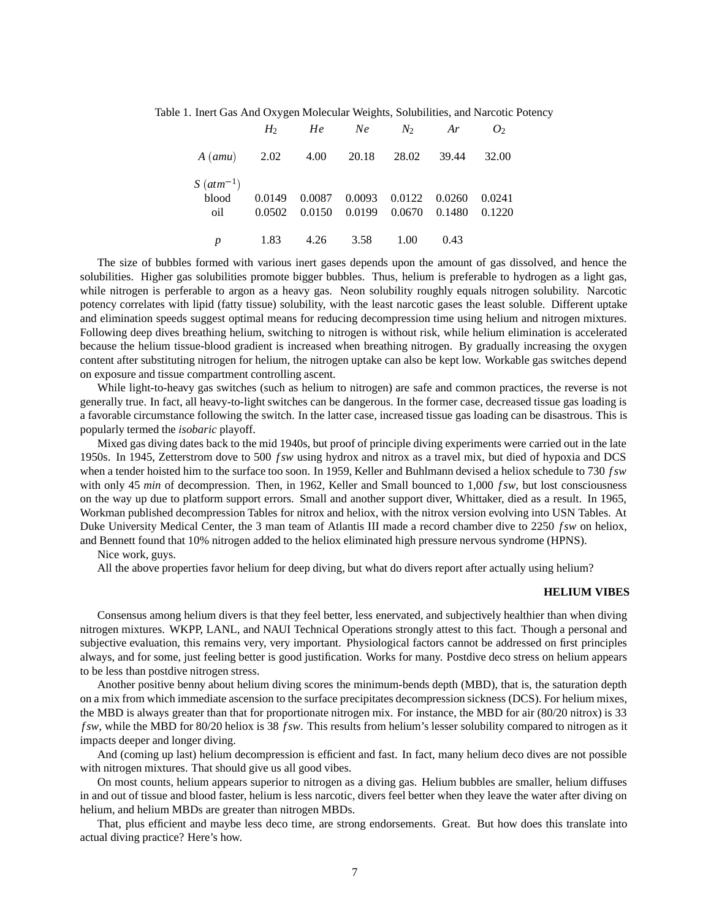Table 1. Inert Gas And Oxygen Molecular Weights, Solubilities, and Narcotic Potency

|                                           |                                                                                              | $H_2$ He Ne $N_2$ Ar $O_2$ |  |  |
|-------------------------------------------|----------------------------------------------------------------------------------------------|----------------------------|--|--|
| A (amu) 2.02 4.00 20.18 28.02 39.44 32.00 |                                                                                              |                            |  |  |
| $S(atm^{-1})$<br>oil                      | blood 0.0149 0.0087 0.0093 0.0122 0.0260 0.0241<br>0.0502 0.0150 0.0199 0.0670 0.1480 0.1220 |                            |  |  |
|                                           | 1.83 4.26 3.58 1.00 0.43                                                                     |                            |  |  |

The size of bubbles formed with various inert gases depends upon the amount of gas dissolved, and hence the solubilities. Higher gas solubilities promote bigger bubbles. Thus, helium is preferable to hydrogen as a light gas, while nitrogen is perferable to argon as a heavy gas. Neon solubility roughly equals nitrogen solubility. Narcotic potency correlates with lipid (fatty tissue) solubility, with the least narcotic gases the least soluble. Different uptake and elimination speeds suggest optimal means for reducing decompression time using helium and nitrogen mixtures. Following deep dives breathing helium, switching to nitrogen is without risk, while helium elimination is accelerated because the helium tissue-blood gradient is increased when breathing nitrogen. By gradually increasing the oxygen content after substituting nitrogen for helium, the nitrogen uptake can also be kept low. Workable gas switches depend on exposure and tissue compartment controlling ascent.

While light-to-heavy gas switches (such as helium to nitrogen) are safe and common practices, the reverse is not generally true. In fact, all heavy-to-light switches can be dangerous. In the former case, decreased tissue gas loading is a favorable circumstance following the switch. In the latter case, increased tissue gas loading can be disastrous. This is popularly termed the *isobaric* playoff.

Mixed gas diving dates back to the mid 1940s, but proof of principle diving experiments were carried out in the late 1950s. In 1945, Zetterstrom dove to 500 *f sw* using hydrox and nitrox as a travel mix, but died of hypoxia and DCS when a tender hoisted him to the surface too soon. In 1959, Keller and Buhlmann devised a heliox schedule to 730 *f sw* with only 45 *min* of decompression. Then, in 1962, Keller and Small bounced to 1,000 *fsw*, but lost consciousness on the way up due to platform support errors. Small and another support diver, Whittaker, died as a result. In 1965, Workman published decompression Tables for nitrox and heliox, with the nitrox version evolving into USN Tables. At Duke University Medical Center, the 3 man team of Atlantis III made a record chamber dive to 2250 *f sw* on heliox, and Bennett found that 10% nitrogen added to the heliox eliminated high pressure nervous syndrome (HPNS).

### Nice work, guys.

All the above properties favor helium for deep diving, but what do divers report after actually using helium?

### **HELIUM VIBES**

Consensus among helium divers is that they feel better, less enervated, and subjectively healthier than when diving nitrogen mixtures. WKPP, LANL, and NAUI Technical Operations strongly attest to this fact. Though a personal and subjective evaluation, this remains very, very important. Physiological factors cannot be addressed on first principles always, and for some, just feeling better is good justification. Works for many. Postdive deco stress on helium appears to be less than postdive nitrogen stress.

Another positive benny about helium diving scores the minimum-bends depth (MBD), that is, the saturation depth on a mix from which immediate ascension to the surface precipitates decompression sickness (DCS). For helium mixes, the MBD is always greater than that for proportionate nitrogen mix. For instance, the MBD for air (80/20 nitrox) is 33 *f sw*, while the MBD for 80/20 heliox is 38 *f sw*. This results from helium's lesser solubility compared to nitrogen as it impacts deeper and longer diving.

And (coming up last) helium decompression is efficient and fast. In fact, many helium deco dives are not possible with nitrogen mixtures. That should give us all good vibes.

On most counts, helium appears superior to nitrogen as a diving gas. Helium bubbles are smaller, helium diffuses in and out of tissue and blood faster, helium is less narcotic, divers feel better when they leave the water after diving on helium, and helium MBDs are greater than nitrogen MBDs.

That, plus efficient and maybe less deco time, are strong endorsements. Great. But how does this translate into actual diving practice? Here's how.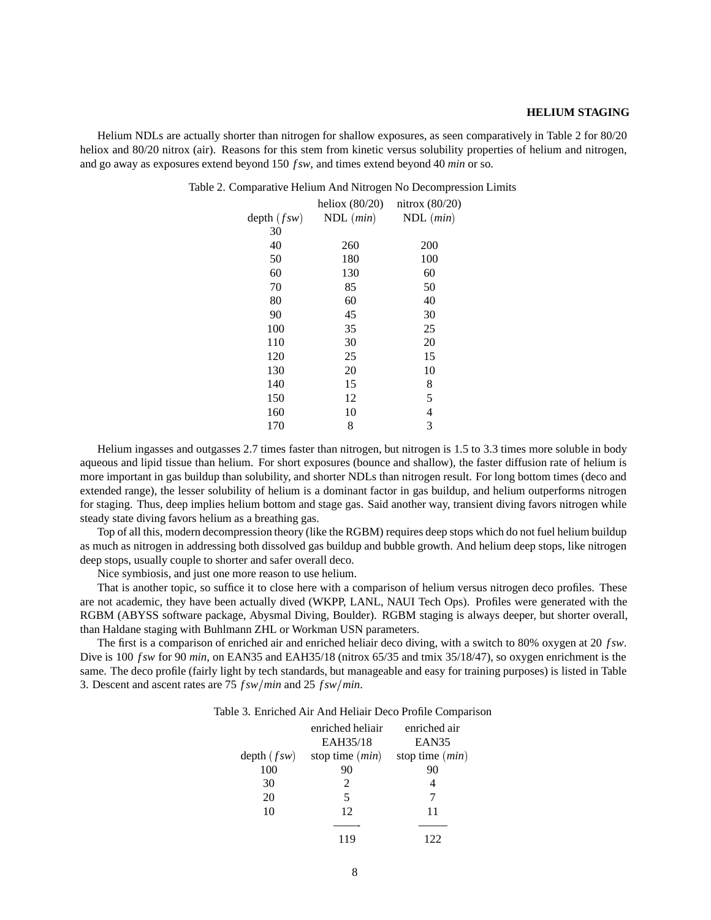## **HELIUM STAGING**

Helium NDLs are actually shorter than nitrogen for shallow exposures, as seen comparatively in Table 2 for 80/20 heliox and 80/20 nitrox (air). Reasons for this stem from kinetic versus solubility properties of helium and nitrogen, and go away as exposures extend beyond 150 *f sw*, and times extend beyond 40 *min* or so.

|  |  |  |  |  | Table 2. Comparative Helium And Nitrogen No Decompression Limits |  |
|--|--|--|--|--|------------------------------------------------------------------|--|
|--|--|--|--|--|------------------------------------------------------------------|--|

|               | heliox $(80/20)$     | nitrox $(80/20)$ |
|---------------|----------------------|------------------|
| depth $(fsw)$ | $NDL$ ( <i>min</i> ) | $NDL$ ( $min$ )  |
| 30            |                      |                  |
| 40            | 260                  | 200              |
| 50            | 180                  | 100              |
| 60            | 130                  | 60               |
| 70            | 85                   | 50               |
| 80            | 60                   | 40               |
| 90            | 45                   | 30               |
| 100           | 35                   | 25               |
| 110           | 30                   | 20               |
| 120           | 25                   | 15               |
| 130           | 20                   | 10               |
| 140           | 15                   | 8                |
| 150           | 12                   | 5                |
| 160           | 10                   | 4                |
| 170           | 8                    | 3                |

Helium ingasses and outgasses 2.7 times faster than nitrogen, but nitrogen is 1.5 to 3.3 times more soluble in body aqueous and lipid tissue than helium. For short exposures (bounce and shallow), the faster diffusion rate of helium is more important in gas buildup than solubility, and shorter NDLs than nitrogen result. For long bottom times (deco and extended range), the lesser solubility of helium is a dominant factor in gas buildup, and helium outperforms nitrogen for staging. Thus, deep implies helium bottom and stage gas. Said another way, transient diving favors nitrogen while steady state diving favors helium as a breathing gas.

Top of all this, modern decompression theory (like the RGBM) requires deep stops which do not fuel helium buildup as much as nitrogen in addressing both dissolved gas buildup and bubble growth. And helium deep stops, like nitrogen deep stops, usually couple to shorter and safer overall deco.

Nice symbiosis, and just one more reason to use helium.

That is another topic, so suffice it to close here with a comparison of helium versus nitrogen deco profiles. These are not academic, they have been actually dived (WKPP, LANL, NAUI Tech Ops). Profiles were generated with the RGBM (ABYSS software package, Abysmal Diving, Boulder). RGBM staging is always deeper, but shorter overall, than Haldane staging with Buhlmann ZHL or Workman USN parameters.

The first is a comparison of enriched air and enriched heliair deco diving, with a switch to 80% oxygen at 20 *f sw*. Dive is 100 *f sw* for 90 *min*, on EAN35 and EAH35/18 (nitrox 65/35 and tmix 35/18/47), so oxygen enrichment is the same. The deco profile (fairly light by tech standards, but manageable and easy for training purposes) is listed in Table 3. Descent and ascent rates are 75  $f_{sw/min}$  and 25  $f_{sw/min}$ .

| Table 3. Enriched Air And Heliair Deco Profile Comparison |  |
|-----------------------------------------------------------|--|
|-----------------------------------------------------------|--|

|               | enriched heliair            | enriched air      |
|---------------|-----------------------------|-------------------|
|               | EAH35/18                    | EAN35             |
| depth $(fsw)$ | stop time $(min)$           | stop time $(min)$ |
| 100           | 90                          | 90                |
| 30            | $\mathcal{D}_{\mathcal{L}}$ |                   |
| 20            | 5                           |                   |
| 10            | 12                          | 11                |
|               |                             |                   |
|               | 119                         |                   |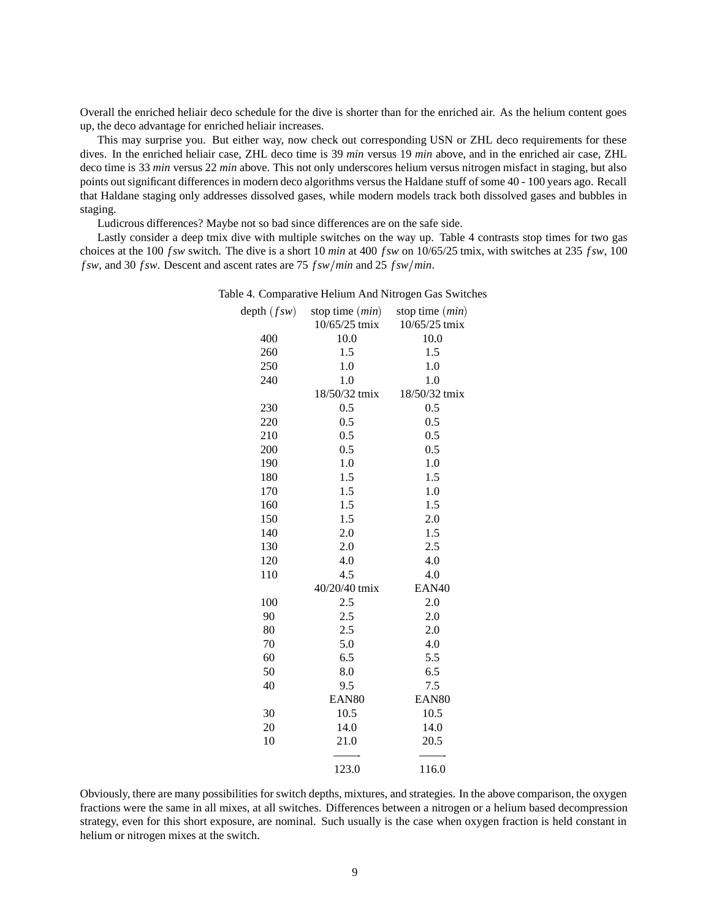Overall the enriched heliair deco schedule for the dive is shorter than for the enriched air. As the helium content goes up, the deco advantage for enriched heliair increases.

This may surprise you. But either way, now check out corresponding USN or ZHL deco requirements for these dives. In the enriched heliair case, ZHL deco time is 39 *min* versus 19 *min* above, and in the enriched air case, ZHL deco time is 33 *min* versus 22 *min* above. This not only underscores helium versus nitrogen misfact in staging, but also points out significant differences in modern deco algorithms versus the Haldane stuff of some 40 - 100 years ago. Recall that Haldane staging only addresses dissolved gases, while modern models track both dissolved gases and bubbles in staging.

Ludicrous differences? Maybe not so bad since differences are on the safe side.

Lastly consider a deep tmix dive with multiple switches on the way up. Table 4 contrasts stop times for two gas choices at the 100 *f sw* switch. The dive is a short 10 *min* at 400 *f sw* on 10/65/25 tmix, with switches at 235 *f sw*, 100 *f sw*, and 30 *f sw*. Descent and ascent rates are 75 *f sw* / *min* and 25 *f sw* / *min*.

|               |                   | Table 4. Comparative Helium And Nitrogen Gas Switches |
|---------------|-------------------|-------------------------------------------------------|
| depth $(fsw)$ | stop time $(min)$ | stop time $(min)$                                     |
|               | 10/65/25 tmix     | 10/65/25 tmix                                         |
| 400           | 10.0              | 10.0                                                  |
| 260           | 1.5               | 1.5                                                   |
| 250           | 1.0               | 1.0                                                   |
| 240           | 1.0               | 1.0                                                   |
|               | 18/50/32 tmix     | 18/50/32 tmix                                         |
| 230           | 0.5               | 0.5                                                   |
| 220           | 0.5               | 0.5                                                   |
| 210           | 0.5               | 0.5                                                   |
| 200           | 0.5               | 0.5                                                   |
| 190           | 1.0               | 1.0                                                   |
| 180           | 1.5               | 1.5                                                   |
| 170           | 1.5               | 1.0                                                   |
| 160           | 1.5               | 1.5                                                   |
| 150           | 1.5               | 2.0                                                   |
| 140           | 2.0               | 1.5                                                   |
| 130           | 2.0               | 2.5                                                   |
| 120           | 4.0               | 4.0                                                   |
| 110           | 4.5               | 4.0                                                   |
|               | 40/20/40 tmix     | EAN40                                                 |
| 100           | 2.5               | 2.0                                                   |
| 90            | 2.5               | 2.0                                                   |
| 80            | 2.5               | 2.0                                                   |
| 70            | 5.0               | 4.0                                                   |
| 60            | 6.5               | 5.5                                                   |
| 50            | 8.0               | 6.5                                                   |
| 40            | 9.5               | 7.5                                                   |
|               | EAN <sub>80</sub> | EAN <sub>80</sub>                                     |
| 30            | 10.5              | 10.5                                                  |
| 20            | 14.0              | 14.0                                                  |
| 10            | 21.0              | 20.5                                                  |
|               | 123.0             | 116.0                                                 |

Obviously, there are many possibilities for switch depths, mixtures, and strategies. In the above comparison, the oxygen fractions were the same in all mixes, at all switches. Differences between a nitrogen or a helium based decompression strategy, even for this short exposure, are nominal. Such usually is the case when oxygen fraction is held constant in helium or nitrogen mixes at the switch.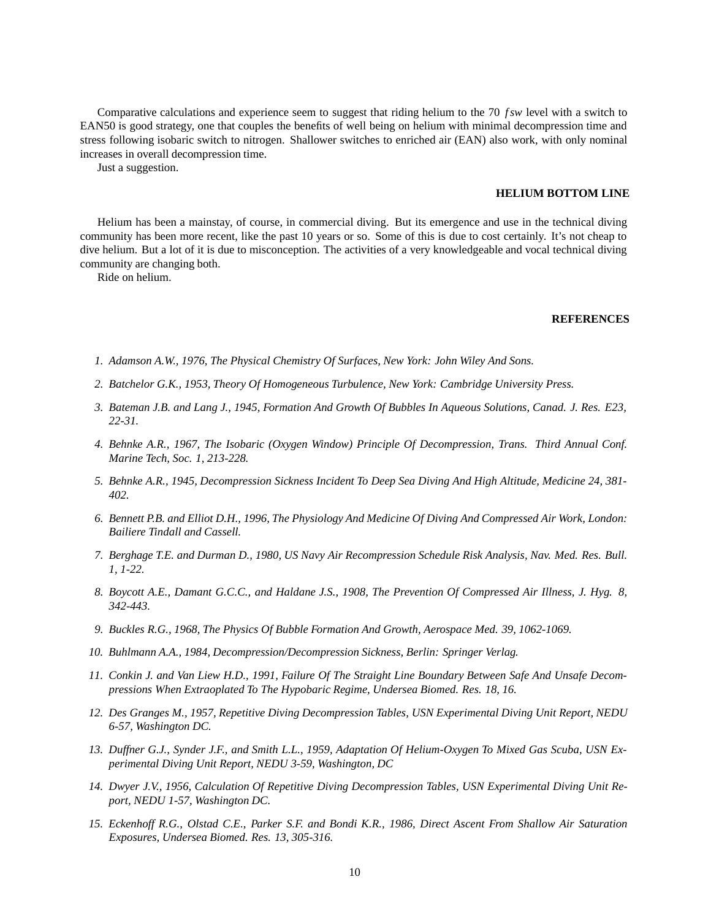Comparative calculations and experience seem to suggest that riding helium to the 70 *f sw* level with a switch to EAN50 is good strategy, one that couples the benefits of well being on helium with minimal decompression time and stress following isobaric switch to nitrogen. Shallower switches to enriched air (EAN) also work, with only nominal increases in overall decompression time.

Just a suggestion.

## **HELIUM BOTTOM LINE**

Helium has been a mainstay, of course, in commercial diving. But its emergence and use in the technical diving community has been more recent, like the past 10 years or so. Some of this is due to cost certainly. It's not cheap to dive helium. But a lot of it is due to misconception. The activities of a very knowledgeable and vocal technical diving community are changing both.

Ride on helium.

## **REFERENCES**

- *1. Adamson A.W., 1976, The Physical Chemistry Of Surfaces, New York: John Wiley And Sons.*
- *2. Batchelor G.K., 1953, Theory Of Homogeneous Turbulence, New York: Cambridge University Press.*
- *3. Bateman J.B. and Lang J., 1945, Formation And Growth Of Bubbles In Aqueous Solutions, Canad. J. Res. E23, 22-31.*
- *4. Behnke A.R., 1967, The Isobaric (Oxygen Window) Principle Of Decompression, Trans. Third Annual Conf. Marine Tech, Soc. 1, 213-228.*
- *5. Behnke A.R., 1945, Decompression Sickness Incident To Deep Sea Diving And High Altitude, Medicine 24, 381- 402.*
- *6. Bennett P.B. and Elliot D.H., 1996, The Physiology And Medicine Of Diving And Compressed Air Work, London: Bailiere Tindall and Cassell.*
- *7. Berghage T.E. and Durman D., 1980, US Navy Air Recompression Schedule Risk Analysis, Nav. Med. Res. Bull. 1, 1-22.*
- *8. Boycott A.E., Damant G.C.C., and Haldane J.S., 1908, The Prevention Of Compressed Air Illness, J. Hyg. 8, 342-443.*
- *9. Buckles R.G., 1968, The Physics Of Bubble Formation And Growth, Aerospace Med. 39, 1062-1069.*
- *10. Buhlmann A.A., 1984, Decompression/Decompression Sickness, Berlin: Springer Verlag.*
- *11. Conkin J. and Van Liew H.D., 1991, Failure Of The Straight Line Boundary Between Safe And Unsafe Decompressions When Extraoplated To The Hypobaric Regime, Undersea Biomed. Res. 18, 16.*
- *12. Des Granges M., 1957, Repetitive Diving Decompression Tables, USN Experimental Diving Unit Report, NEDU 6-57, Washington DC.*
- *13. Duffner G.J., Synder J.F., and Smith L.L., 1959, Adaptation Of Helium-Oxygen To Mixed Gas Scuba, USN Experimental Diving Unit Report, NEDU 3-59, Washington, DC*
- *14. Dwyer J.V., 1956, Calculation Of Repetitive Diving Decompression Tables, USN Experimental Diving Unit Report, NEDU 1-57, Washington DC.*
- *15. Eckenhoff R.G., Olstad C.E., Parker S.F. and Bondi K.R., 1986, Direct Ascent From Shallow Air Saturation Exposures, Undersea Biomed. Res. 13, 305-316.*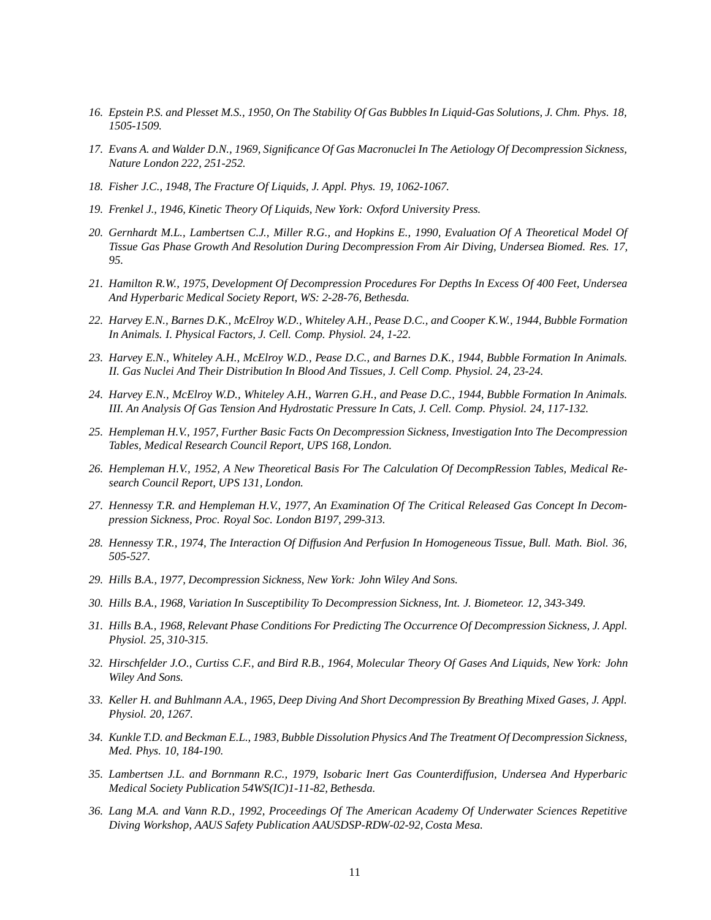- *16. Epstein P.S. and Plesset M.S., 1950, On The Stability Of Gas Bubbles In Liquid-Gas Solutions, J. Chm. Phys. 18, 1505-1509.*
- *17. Evans A. and Walder D.N., 1969, Significance Of Gas Macronuclei In The Aetiology Of Decompression Sickness, Nature London 222, 251-252.*
- *18. Fisher J.C., 1948, The Fracture Of Liquids, J. Appl. Phys. 19, 1062-1067.*
- *19. Frenkel J., 1946, Kinetic Theory Of Liquids, New York: Oxford University Press.*
- *20. Gernhardt M.L., Lambertsen C.J., Miller R.G., and Hopkins E., 1990, Evaluation Of A Theoretical Model Of Tissue Gas Phase Growth And Resolution During Decompression From Air Diving, Undersea Biomed. Res. 17, 95.*
- *21. Hamilton R.W., 1975, Development Of Decompression Procedures For Depths In Excess Of 400 Feet, Undersea And Hyperbaric Medical Society Report, WS: 2-28-76, Bethesda.*
- *22. Harvey E.N., Barnes D.K., McElroy W.D., Whiteley A.H., Pease D.C., and Cooper K.W., 1944, Bubble Formation In Animals. I. Physical Factors, J. Cell. Comp. Physiol. 24, 1-22.*
- *23. Harvey E.N., Whiteley A.H., McElroy W.D., Pease D.C., and Barnes D.K., 1944, Bubble Formation In Animals. II. Gas Nuclei And Their Distribution In Blood And Tissues, J. Cell Comp. Physiol. 24, 23-24.*
- *24. Harvey E.N., McElroy W.D., Whiteley A.H., Warren G.H., and Pease D.C., 1944, Bubble Formation In Animals. III. An Analysis Of Gas Tension And Hydrostatic Pressure In Cats, J. Cell. Comp. Physiol. 24, 117-132.*
- *25. Hempleman H.V., 1957, Further Basic Facts On Decompression Sickness, Investigation Into The Decompression Tables, Medical Research Council Report, UPS 168, London.*
- *26. Hempleman H.V., 1952, A New Theoretical Basis For The Calculation Of DecompRession Tables, Medical Research Council Report, UPS 131, London.*
- *27. Hennessy T.R. and Hempleman H.V., 1977, An Examination Of The Critical Released Gas Concept In Decompression Sickness, Proc. Royal Soc. London B197, 299-313.*
- *28. Hennessy T.R., 1974, The Interaction Of Diffusion And Perfusion In Homogeneous Tissue, Bull. Math. Biol. 36, 505-527.*
- *29. Hills B.A., 1977, Decompression Sickness, New York: John Wiley And Sons.*
- *30. Hills B.A., 1968, Variation In Susceptibility To Decompression Sickness, Int. J. Biometeor. 12, 343-349.*
- *31. Hills B.A., 1968, Relevant Phase Conditions For Predicting The Occurrence Of Decompression Sickness, J. Appl. Physiol. 25, 310-315.*
- *32. Hirschfelder J.O., Curtiss C.F., and Bird R.B., 1964, Molecular Theory Of Gases And Liquids, New York: John Wiley And Sons.*
- *33. Keller H. and Buhlmann A.A., 1965, Deep Diving And Short Decompression By Breathing Mixed Gases, J. Appl. Physiol. 20, 1267.*
- *34. Kunkle T.D. and Beckman E.L., 1983, Bubble Dissolution Physics And The Treatment Of Decompression Sickness, Med. Phys. 10, 184-190.*
- *35. Lambertsen J.L. and Bornmann R.C., 1979, Isobaric Inert Gas Counterdiffusion, Undersea And Hyperbaric Medical Society Publication 54WS(IC)1-11-82, Bethesda.*
- *36. Lang M.A. and Vann R.D., 1992, Proceedings Of The American Academy Of Underwater Sciences Repetitive Diving Workshop, AAUS Safety Publication AAUSDSP-RDW-02-92, Costa Mesa.*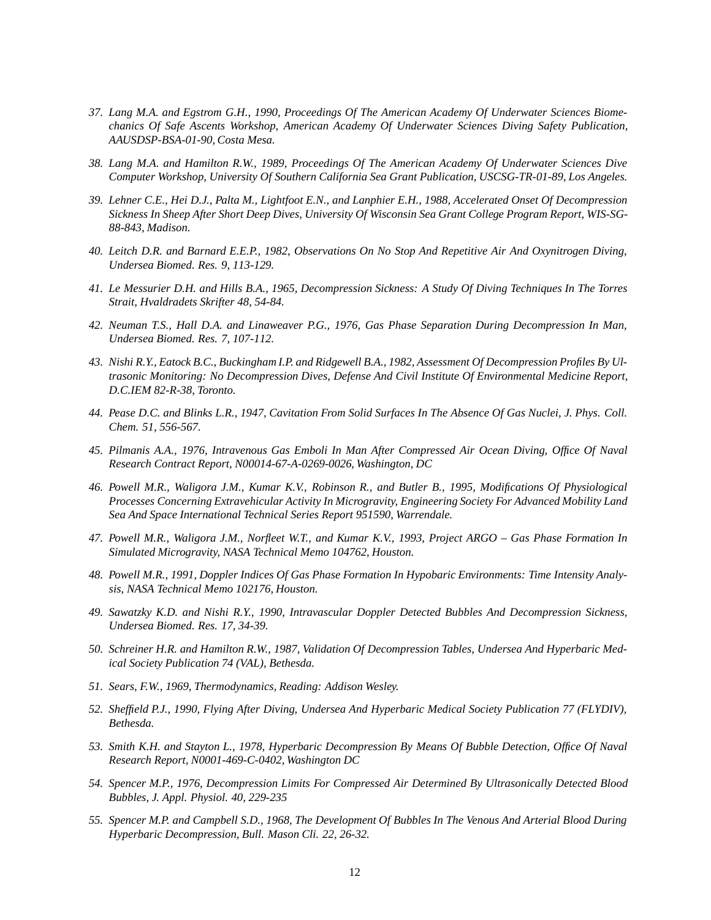- *37. Lang M.A. and Egstrom G.H., 1990, Proceedings Of The American Academy Of Underwater Sciences Biomechanics Of Safe Ascents Workshop, American Academy Of Underwater Sciences Diving Safety Publication, AAUSDSP-BSA-01-90, Costa Mesa.*
- *38. Lang M.A. and Hamilton R.W., 1989, Proceedings Of The American Academy Of Underwater Sciences Dive Computer Workshop, University Of Southern California Sea Grant Publication, USCSG-TR-01-89, Los Angeles.*
- *39. Lehner C.E., Hei D.J., Palta M., Lightfoot E.N., and Lanphier E.H., 1988, Accelerated Onset Of Decompression Sickness In Sheep After Short Deep Dives, University Of Wisconsin Sea Grant College Program Report, WIS-SG-88-843, Madison.*
- *40. Leitch D.R. and Barnard E.E.P., 1982, Observations On No Stop And Repetitive Air And Oxynitrogen Diving, Undersea Biomed. Res. 9, 113-129.*
- *41. Le Messurier D.H. and Hills B.A., 1965, Decompression Sickness: A Study Of Diving Techniques In The Torres Strait, Hvaldradets Skrifter 48, 54-84.*
- *42. Neuman T.S., Hall D.A. and Linaweaver P.G., 1976, Gas Phase Separation During Decompression In Man, Undersea Biomed. Res. 7, 107-112.*
- *43. Nishi R.Y., Eatock B.C., Buckingham I.P. and Ridgewell B.A., 1982, Assessment Of Decompression Profiles By Ultrasonic Monitoring: No Decompression Dives, Defense And Civil Institute Of Environmental Medicine Report, D.C.IEM 82-R-38, Toronto.*
- *44. Pease D.C. and Blinks L.R., 1947, Cavitation From Solid Surfaces In The Absence Of Gas Nuclei, J. Phys. Coll. Chem. 51, 556-567.*
- *45. Pilmanis A.A., 1976, Intravenous Gas Emboli In Man After Compressed Air Ocean Diving, Office Of Naval Research Contract Report, N00014-67-A-0269-0026, Washington, DC*
- *46. Powell M.R., Waligora J.M., Kumar K.V., Robinson R., and Butler B., 1995, Modifications Of Physiological Processes Concerning Extravehicular Activity In Microgravity, Engineering Society For Advanced Mobility Land Sea And Space International Technical Series Report 951590, Warrendale.*
- *47. Powell M.R., Waligora J.M., Norfleet W.T., and Kumar K.V., 1993, Project ARGO Gas Phase Formation In Simulated Microgravity, NASA Technical Memo 104762, Houston.*
- *48. Powell M.R., 1991, Doppler Indices Of Gas Phase Formation In Hypobaric Environments: Time Intensity Analysis, NASA Technical Memo 102176, Houston.*
- *49. Sawatzky K.D. and Nishi R.Y., 1990, Intravascular Doppler Detected Bubbles And Decompression Sickness, Undersea Biomed. Res. 17, 34-39.*
- *50. Schreiner H.R. and Hamilton R.W., 1987, Validation Of Decompression Tables, Undersea And Hyperbaric Medical Society Publication 74 (VAL), Bethesda.*
- *51. Sears, F.W., 1969, Thermodynamics, Reading: Addison Wesley.*
- *52. Sheffield P.J., 1990, Flying After Diving, Undersea And Hyperbaric Medical Society Publication 77 (FLYDIV), Bethesda.*
- *53. Smith K.H. and Stayton L., 1978, Hyperbaric Decompression By Means Of Bubble Detection, Office Of Naval Research Report, N0001-469-C-0402, Washington DC*
- *54. Spencer M.P., 1976, Decompression Limits For Compressed Air Determined By Ultrasonically Detected Blood Bubbles, J. Appl. Physiol. 40, 229-235*
- *55. Spencer M.P. and Campbell S.D., 1968, The Development Of Bubbles In The Venous And Arterial Blood During Hyperbaric Decompression, Bull. Mason Cli. 22, 26-32.*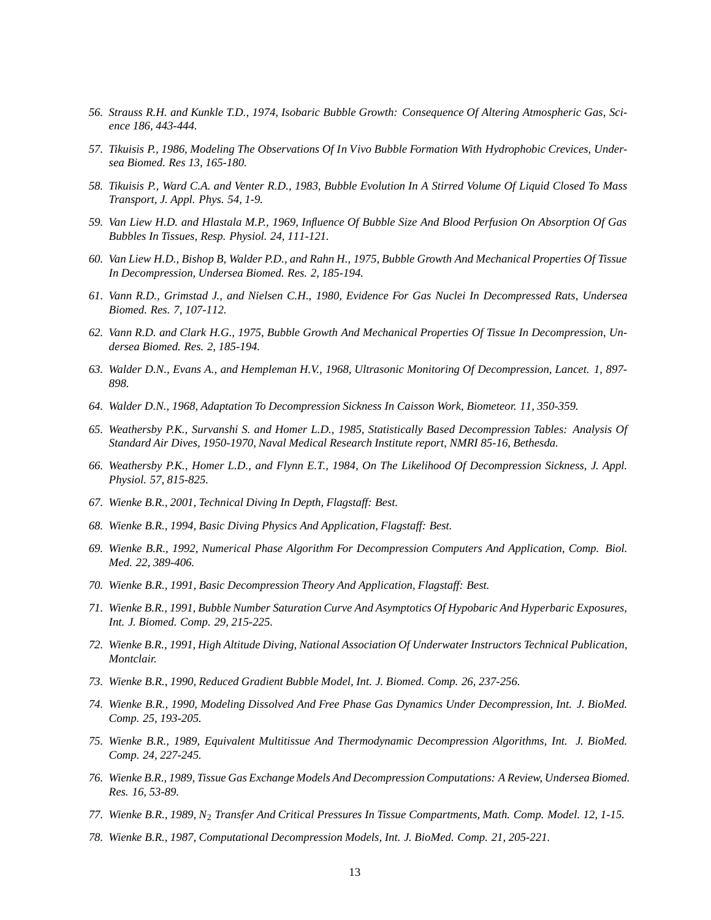- *56. Strauss R.H. and Kunkle T.D., 1974, Isobaric Bubble Growth: Consequence Of Altering Atmospheric Gas, Science 186, 443-444.*
- *57. Tikuisis P., 1986, Modeling The Observations Of In Vivo Bubble Formation With Hydrophobic Crevices, Undersea Biomed. Res 13, 165-180.*
- *58. Tikuisis P., Ward C.A. and Venter R.D., 1983, Bubble Evolution In A Stirred Volume Of Liquid Closed To Mass Transport, J. Appl. Phys. 54, 1-9.*
- *59. Van Liew H.D. and Hlastala M.P., 1969, Influence Of Bubble Size And Blood Perfusion On Absorption Of Gas Bubbles In Tissues, Resp. Physiol. 24, 111-121.*
- *60. Van Liew H.D., Bishop B, Walder P.D., and Rahn H., 1975, Bubble Growth And Mechanical Properties Of Tissue In Decompression, Undersea Biomed. Res. 2, 185-194.*
- *61. Vann R.D., Grimstad J., and Nielsen C.H., 1980, Evidence For Gas Nuclei In Decompressed Rats, Undersea Biomed. Res. 7, 107-112.*
- *62. Vann R.D. and Clark H.G., 1975, Bubble Growth And Mechanical Properties Of Tissue In Decompression, Undersea Biomed. Res. 2, 185-194.*
- *63. Walder D.N., Evans A., and Hempleman H.V., 1968, Ultrasonic Monitoring Of Decompression, Lancet. 1, 897- 898.*
- *64. Walder D.N., 1968, Adaptation To Decompression Sickness In Caisson Work, Biometeor. 11, 350-359.*
- *65. Weathersby P.K., Survanshi S. and Homer L.D., 1985, Statistically Based Decompression Tables: Analysis Of Standard Air Dives, 1950-1970, Naval Medical Research Institute report, NMRI 85-16, Bethesda.*
- *66. Weathersby P.K., Homer L.D., and Flynn E.T., 1984, On The Likelihood Of Decompression Sickness, J. Appl. Physiol. 57, 815-825.*
- *67. Wienke B.R., 2001, Technical Diving In Depth, Flagstaff: Best.*
- *68. Wienke B.R., 1994, Basic Diving Physics And Application, Flagstaff: Best.*
- *69. Wienke B.R., 1992, Numerical Phase Algorithm For Decompression Computers And Application, Comp. Biol. Med. 22, 389-406.*
- *70. Wienke B.R., 1991, Basic Decompression Theory And Application, Flagstaff: Best.*
- *71. Wienke B.R., 1991, Bubble Number Saturation Curve And Asymptotics Of Hypobaric And Hyperbaric Exposures, Int. J. Biomed. Comp. 29, 215-225.*
- *72. Wienke B.R., 1991, High Altitude Diving, National Association Of Underwater Instructors Technical Publication, Montclair.*
- *73. Wienke B.R., 1990, Reduced Gradient Bubble Model, Int. J. Biomed. Comp. 26, 237-256.*
- *74. Wienke B.R., 1990, Modeling Dissolved And Free Phase Gas Dynamics Under Decompression, Int. J. BioMed. Comp. 25, 193-205.*
- *75. Wienke B.R., 1989, Equivalent Multitissue And Thermodynamic Decompression Algorithms, Int. J. BioMed. Comp. 24, 227-245.*
- *76. Wienke B.R., 1989, Tissue Gas Exchange Models And Decompression Computations: A Review, Undersea Biomed. Res. 16, 53-89.*
- *77. Wienke B.R., 1989, N*<sup>2</sup> *Transfer And Critical Pressures In Tissue Compartments, Math. Comp. Model. 12, 1-15.*
- *78. Wienke B.R., 1987, Computational Decompression Models, Int. J. BioMed. Comp. 21, 205-221.*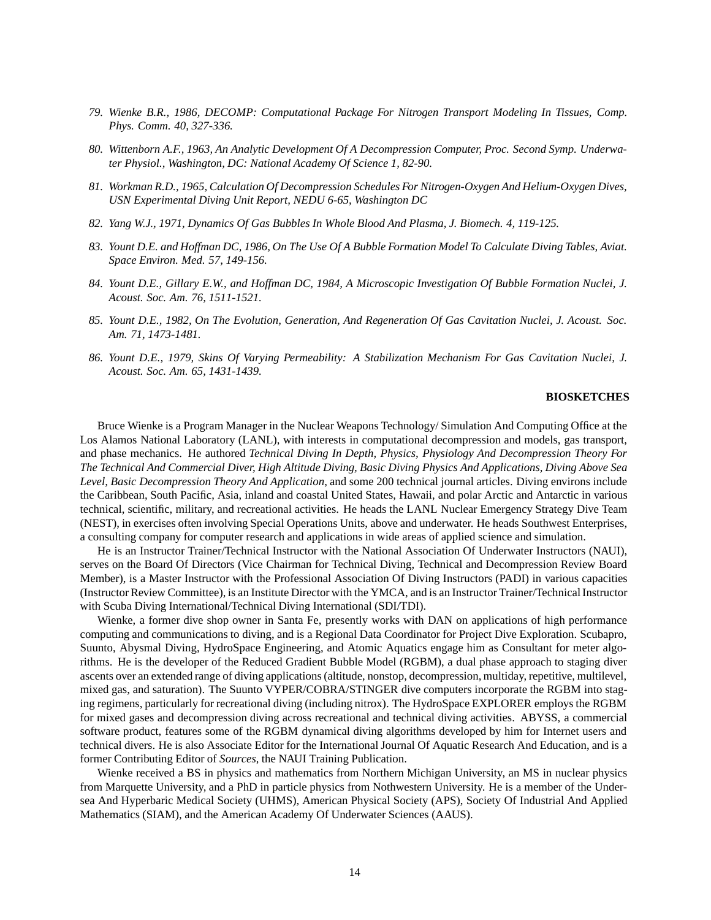- *79. Wienke B.R., 1986, DECOMP: Computational Package For Nitrogen Transport Modeling In Tissues, Comp. Phys. Comm. 40, 327-336.*
- *80. Wittenborn A.F., 1963, An Analytic Development Of A Decompression Computer, Proc. Second Symp. Underwater Physiol., Washington, DC: National Academy Of Science 1, 82-90.*
- *81. Workman R.D., 1965, Calculation Of Decompression Schedules For Nitrogen-Oxygen And Helium-Oxygen Dives, USN Experimental Diving Unit Report, NEDU 6-65, Washington DC*
- *82. Yang W.J., 1971, Dynamics Of Gas Bubbles In Whole Blood And Plasma, J. Biomech. 4, 119-125.*
- *83. Yount D.E. and Hoffman DC, 1986, On The Use Of A Bubble Formation Model To Calculate Diving Tables, Aviat. Space Environ. Med. 57, 149-156.*
- *84. Yount D.E., Gillary E.W., and Hoffman DC, 1984, A Microscopic Investigation Of Bubble Formation Nuclei, J. Acoust. Soc. Am. 76, 1511-1521.*
- *85. Yount D.E., 1982, On The Evolution, Generation, And Regeneration Of Gas Cavitation Nuclei, J. Acoust. Soc. Am. 71, 1473-1481.*
- *86. Yount D.E., 1979, Skins Of Varying Permeability: A Stabilization Mechanism For Gas Cavitation Nuclei, J. Acoust. Soc. Am. 65, 1431-1439.*

# **BIOSKETCHES**

Bruce Wienke is a Program Manager in the Nuclear Weapons Technology/ Simulation And Computing Office at the Los Alamos National Laboratory (LANL), with interests in computational decompression and models, gas transport, and phase mechanics. He authored *Technical Diving In Depth, Physics, Physiology And Decompression Theory For The Technical And Commercial Diver, High Altitude Diving, Basic Diving Physics And Applications, Diving Above Sea Level, Basic Decompression Theory And Application*, and some 200 technical journal articles. Diving environs include the Caribbean, South Pacific, Asia, inland and coastal United States, Hawaii, and polar Arctic and Antarctic in various technical, scientific, military, and recreational activities. He heads the LANL Nuclear Emergency Strategy Dive Team (NEST), in exercises often involving Special Operations Units, above and underwater. He heads Southwest Enterprises, a consulting company for computer research and applications in wide areas of applied science and simulation.

He is an Instructor Trainer/Technical Instructor with the National Association Of Underwater Instructors (NAUI), serves on the Board Of Directors (Vice Chairman for Technical Diving, Technical and Decompression Review Board Member), is a Master Instructor with the Professional Association Of Diving Instructors (PADI) in various capacities (Instructor Review Committee), is an Institute Director with the YMCA, and is an Instructor Trainer/Technical Instructor with Scuba Diving International/Technical Diving International (SDI/TDI).

Wienke, a former dive shop owner in Santa Fe, presently works with DAN on applications of high performance computing and communications to diving, and is a Regional Data Coordinator for Project Dive Exploration. Scubapro, Suunto, Abysmal Diving, HydroSpace Engineering, and Atomic Aquatics engage him as Consultant for meter algorithms. He is the developer of the Reduced Gradient Bubble Model (RGBM), a dual phase approach to staging diver ascents over an extended range of diving applications (altitude, nonstop, decompression, multiday, repetitive, multilevel, mixed gas, and saturation). The Suunto VYPER/COBRA/STINGER dive computers incorporate the RGBM into staging regimens, particularly for recreational diving (including nitrox). The HydroSpace EXPLORER employs the RGBM for mixed gases and decompression diving across recreational and technical diving activities. ABYSS, a commercial software product, features some of the RGBM dynamical diving algorithms developed by him for Internet users and technical divers. He is also Associate Editor for the International Journal Of Aquatic Research And Education, and is a former Contributing Editor of *Sources*, the NAUI Training Publication.

Wienke received a BS in physics and mathematics from Northern Michigan University, an MS in nuclear physics from Marquette University, and a PhD in particle physics from Nothwestern University. He is a member of the Undersea And Hyperbaric Medical Society (UHMS), American Physical Society (APS), Society Of Industrial And Applied Mathematics (SIAM), and the American Academy Of Underwater Sciences (AAUS).